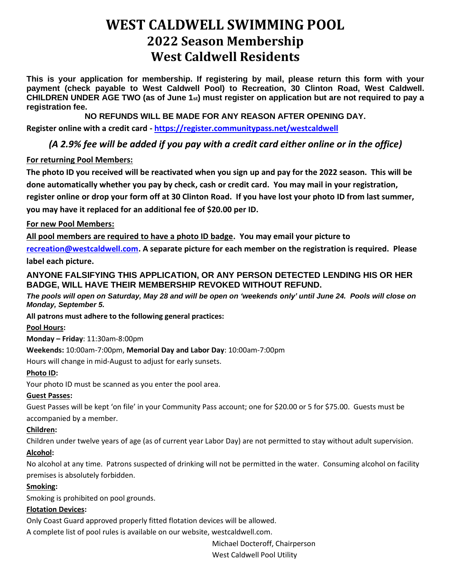# **WEST CALDWELL SWIMMING POOL 2022 Season Membership West Caldwell Residents**

**This is your application for membership. If registering by mail, please return this form with your payment (check payable to West Caldwell Pool) to Recreation, 30 Clinton Road, West Caldwell. CHILDREN UNDER AGE TWO (as of June 1st) must register on application but are not required to pay a registration fee.** 

**NO REFUNDS WILL BE MADE FOR ANY REASON AFTER OPENING DAY.**

**Register online with a credit card - [https://register.communitypass.net/westcaldwell](https://register.communitypass.net/index.cfm)**

# *(A 2.9% fee will be added if you pay with a credit card either online or in the office)*

### **For returning Pool Members:**

**The photo ID you received will be reactivated when you sign up and pay for the 2022 season. This will be done automatically whether you pay by check, cash or credit card. You may mail in your registration, register online or drop your form off at 30 Clinton Road. If you have lost your photo ID from last summer, you may have it replaced for an additional fee of \$20.00 per ID.** 

### **For new Pool Members:**

**All pool members are required to have a photo ID badge. You may email your picture to** 

**[recreation@westcaldwell.com.](mailto:recreation@westcaldwell.com) A separate picture for each member on the registration is required. Please label each picture.**

## **ANYONE FALSIFYING THIS APPLICATION, OR ANY PERSON DETECTED LENDING HIS OR HER BADGE, WILL HAVE THEIR MEMBERSHIP REVOKED WITHOUT REFUND.**

*The pools will open on Saturday, May 28 and will be open on 'weekends only' until June 24. Pools will close on Monday, September 5.*

**All patrons must adhere to the following general practices:**

### **Pool Hours:**

**Monday – Friday**: 11:30am-8:00pm

**Weekends:** 10:00am-7:00pm, **Memorial Day and Labor Day**: 10:00am-7:00pm

Hours will change in mid-August to adjust for early sunsets.

### **Photo ID:**

Your photo ID must be scanned as you enter the pool area.

### **Guest Passes:**

Guest Passes will be kept 'on file' in your Community Pass account; one for \$20.00 or 5 for \$75.00. Guests must be accompanied by a member.

### **Children:**

Children under twelve years of age (as of current year Labor Day) are not permitted to stay without adult supervision.

### **Alcohol:**

No alcohol at any time. Patrons suspected of drinking will not be permitted in the water. Consuming alcohol on facility premises is absolutely forbidden.

### **Smoking:**

Smoking is prohibited on pool grounds.

#### **Flotation Devices:**

Only Coast Guard approved properly fitted flotation devices will be allowed.

A complete list of pool rules is available on our website, westcaldwell.com.

Michael Docteroff, Chairperson

West Caldwell Pool Utility